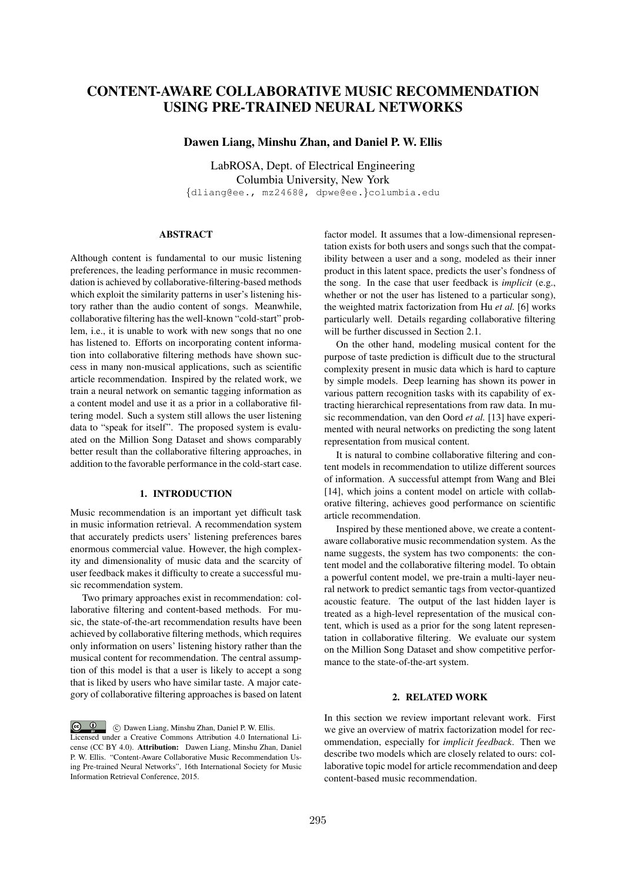# CONTENT-AWARE COLLABORATIVE MUSIC RECOMMENDATION USING PRE-TRAINED NEURAL NETWORKS

Dawen Liang, Minshu Zhan, and Daniel P. W. Ellis

LabROSA, Dept. of Electrical Engineering Columbia University, New York *{*dliang@ee., mz2468@, dpwe@ee.*}*columbia.edu

## ABSTRACT

Although content is fundamental to our music listening preferences, the leading performance in music recommendation is achieved by collaborative-filtering-based methods which exploit the similarity patterns in user's listening history rather than the audio content of songs. Meanwhile, collaborative filtering has the well-known "cold-start" problem, i.e., it is unable to work with new songs that no one has listened to. Efforts on incorporating content information into collaborative filtering methods have shown success in many non-musical applications, such as scientific article recommendation. Inspired by the related work, we train a neural network on semantic tagging information as a content model and use it as a prior in a collaborative filtering model. Such a system still allows the user listening data to "speak for itself". The proposed system is evaluated on the Million Song Dataset and shows comparably better result than the collaborative filtering approaches, in addition to the favorable performance in the cold-start case.

## 1. INTRODUCTION

Music recommendation is an important yet difficult task in music information retrieval. A recommendation system that accurately predicts users' listening preferences bares enormous commercial value. However, the high complexity and dimensionality of music data and the scarcity of user feedback makes it difficulty to create a successful music recommendation system.

Two primary approaches exist in recommendation: collaborative filtering and content-based methods. For music, the state-of-the-art recommendation results have been achieved by collaborative filtering methods, which requires only information on users' listening history rather than the musical content for recommendation. The central assumption of this model is that a user is likely to accept a song that is liked by users who have similar taste. A major category of collaborative filtering approaches is based on latent

 $\circ$   $\circ$ c Dawen Liang, Minshu Zhan, Daniel P. W. Ellis. Licensed under a Creative Commons Attribution 4.0 International License (CC BY 4.0). Attribution: Dawen Liang, Minshu Zhan, Daniel P. W. Ellis. "Content-Aware Collaborative Music Recommendation Using Pre-trained Neural Networks", 16th International Society for Music Information Retrieval Conference, 2015.

factor model. It assumes that a low-dimensional representation exists for both users and songs such that the compatibility between a user and a song, modeled as their inner product in this latent space, predicts the user's fondness of the song. In the case that user feedback is *implicit* (e.g., whether or not the user has listened to a particular song), the weighted matrix factorization from Hu *et al.* [6] works particularly well. Details regarding collaborative filtering will be further discussed in Section 2.1.

On the other hand, modeling musical content for the purpose of taste prediction is difficult due to the structural complexity present in music data which is hard to capture by simple models. Deep learning has shown its power in various pattern recognition tasks with its capability of extracting hierarchical representations from raw data. In music recommendation, van den Oord *et al.* [13] have experimented with neural networks on predicting the song latent representation from musical content.

It is natural to combine collaborative filtering and content models in recommendation to utilize different sources of information. A successful attempt from Wang and Blei [14], which joins a content model on article with collaborative filtering, achieves good performance on scientific article recommendation.

Inspired by these mentioned above, we create a contentaware collaborative music recommendation system. As the name suggests, the system has two components: the content model and the collaborative filtering model. To obtain a powerful content model, we pre-train a multi-layer neural network to predict semantic tags from vector-quantized acoustic feature. The output of the last hidden layer is treated as a high-level representation of the musical content, which is used as a prior for the song latent representation in collaborative filtering. We evaluate our system on the Million Song Dataset and show competitive performance to the state-of-the-art system.

# 2. RELATED WORK

In this section we review important relevant work. First we give an overview of matrix factorization model for recommendation, especially for *implicit feedback*. Then we describe two models which are closely related to ours: collaborative topic model for article recommendation and deep content-based music recommendation.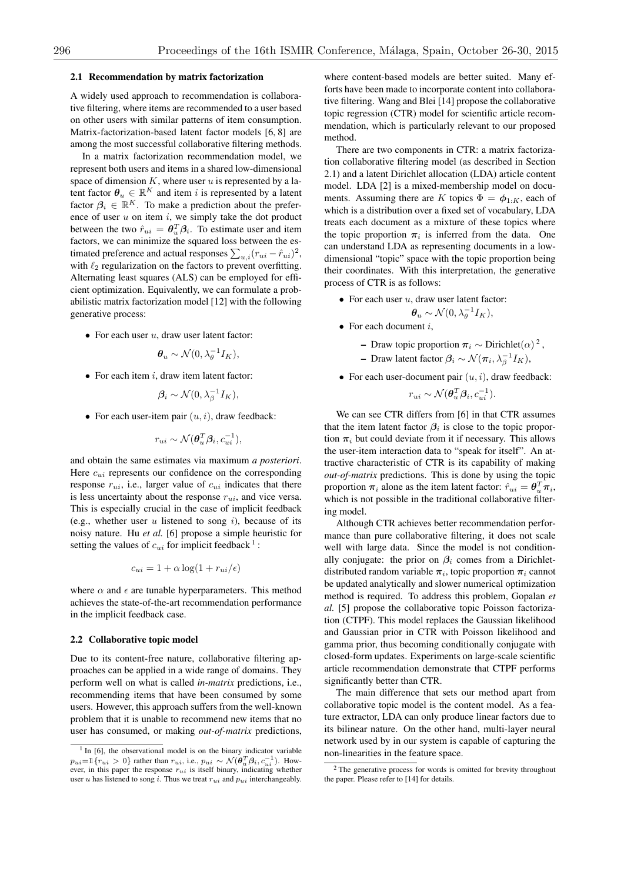#### 2.1 Recommendation by matrix factorization

A widely used approach to recommendation is collaborative filtering, where items are recommended to a user based on other users with similar patterns of item consumption. Matrix-factorization-based latent factor models [6, 8] are among the most successful collaborative filtering methods.

In a matrix factorization recommendation model, we represent both users and items in a shared low-dimensional space of dimension *K*, where user *u* is represented by a latent factor  $\theta_u \in \mathbb{R}^K$  and item *i* is represented by a latent factor  $\beta_i \in \mathbb{R}^K$ . To make a prediction about the preference of user *u* on item *i*, we simply take the dot product between the two  $\hat{r}_{ui} = \theta_u^T \beta_i$ . To estimate user and item factors, we can minimize the squared loss between the estimated preference and actual responses  $\sum_{u,i}(r_{ui} - \hat{r}_{ui})^2$ , with  $\ell_2$  regularization on the factors to prevent overfitting. Alternating least squares (ALS) can be employed for efficient optimization. Equivalently, we can formulate a probabilistic matrix factorization model [12] with the following generative process:

*•* For each user *u*, draw user latent factor:

$$
\boldsymbol{\theta}_u \sim \mathcal{N}(0, \lambda_{\theta}^{-1} I_K),
$$

*•* For each item *i*, draw item latent factor:

$$
\beta_i \sim \mathcal{N}(0, \lambda_{\beta}^{-1} I_K),
$$

*•* For each user-item pair (*u, i*), draw feedback:

$$
r_{ui} \sim \mathcal{N}(\boldsymbol{\theta}_u^T \boldsymbol{\beta}_i, c_{ui}^{-1}),
$$

and obtain the same estimates via maximum *a posteriori*. Here  $c_{ui}$  represents our confidence on the corresponding response  $r_{ui}$ , i.e., larger value of  $c_{ui}$  indicates that there is less uncertainty about the response  $r_{ui}$ , and vice versa. This is especially crucial in the case of implicit feedback (e.g., whether user *u* listened to song *i*), because of its noisy nature. Hu *et al.* [6] propose a simple heuristic for setting the values of  $c_{ui}$  for implicit feedback  $\frac{1}{1}$ :

$$
c_{ui} = 1 + \alpha \log(1 + r_{ui}/\epsilon)
$$

where  $\alpha$  and  $\epsilon$  are tunable hyperparameters. This method achieves the state-of-the-art recommendation performance in the implicit feedback case.

#### 2.2 Collaborative topic model

Due to its content-free nature, collaborative filtering approaches can be applied in a wide range of domains. They perform well on what is called *in-matrix* predictions, i.e., recommending items that have been consumed by some users. However, this approach suffers from the well-known problem that it is unable to recommend new items that no user has consumed, or making *out-of-matrix* predictions, where content-based models are better suited. Many efforts have been made to incorporate content into collaborative filtering. Wang and Blei [14] propose the collaborative topic regression (CTR) model for scientific article recommendation, which is particularly relevant to our proposed method.

There are two components in CTR: a matrix factorization collaborative filtering model (as described in Section 2.1) and a latent Dirichlet allocation (LDA) article content model. LDA [2] is a mixed-membership model on documents. Assuming there are *K* topics  $\Phi = \phi_{1:K}$ , each of which is a distribution over a fixed set of vocabulary, LDA treats each document as a mixture of these topics where the topic proportion  $\pi_i$  is inferred from the data. One can understand LDA as representing documents in a lowdimensional "topic" space with the topic proportion being their coordinates. With this interpretation, the generative process of CTR is as follows:

- *•* For each user *u*, draw user latent factor:
	- $\theta_u \sim \mathcal{N}(0, \lambda_{\theta}^{-1}I_K),$
- *•* For each document *i*,
	- Draw topic proportion  $\pi_i \sim$  Dirichlet( $\alpha$ )<sup>2</sup>,
	- $\rightarrow$  Draw latent factor  $\beta_i \sim \mathcal{N}(\pi_i, \lambda_\beta^{-1} I_K)$ ,
- *•* For each user-document pair (*u, i*), draw feedback:

$$
r_{ui} \sim \mathcal{N}(\boldsymbol{\theta}_u^T \boldsymbol{\beta}_i, c_{ui}^{-1}).
$$

We can see CTR differs from [6] in that CTR assumes that the item latent factor  $\beta_i$  is close to the topic proportion  $\pi_i$  but could deviate from it if necessary. This allows the user-item interaction data to "speak for itself". An attractive characteristic of CTR is its capability of making *out-of-matrix* predictions. This is done by using the topic proportion  $\pi_i$  alone as the item latent factor:  $\hat{r}_{ui} = \theta_u^T \pi_i$ , which is not possible in the traditional collaborative filtering model.

Although CTR achieves better recommendation performance than pure collaborative filtering, it does not scale well with large data. Since the model is not conditionally conjugate: the prior on  $\beta_i$  comes from a Dirichletdistributed random variable  $\pi_i$ , topic proportion  $\pi_i$  cannot be updated analytically and slower numerical optimization method is required. To address this problem, Gopalan *et al.* [5] propose the collaborative topic Poisson factorization (CTPF). This model replaces the Gaussian likelihood and Gaussian prior in CTR with Poisson likelihood and gamma prior, thus becoming conditionally conjugate with closed-form updates. Experiments on large-scale scientific article recommendation demonstrate that CTPF performs significantly better than CTR.

The main difference that sets our method apart from collaborative topic model is the content model. As a feature extractor, LDA can only produce linear factors due to its bilinear nature. On the other hand, multi-layer neural network used by in our system is capable of capturing the non-linearities in the feature space.

 $1$  In [6], the observational model is on the binary indicator variable  $p_{ui} = 1 \{ r_{ui} > 0 \}$  rather than  $r_{ui}$ , i.e.,  $p_{ui} \sim \mathcal{N}(\theta_u^T \beta_i, c_{ui}^{-1})$ . However, in this paper the response  $r_{ui}$  is itself binary, indicating whether user *u* has listened to song *i*. Thus we treat  $r_{ui}$  and  $p_{ui}$  interchangeably.

<sup>&</sup>lt;sup>2</sup> The generative process for words is omitted for brevity throughout the paper. Please refer to [14] for details.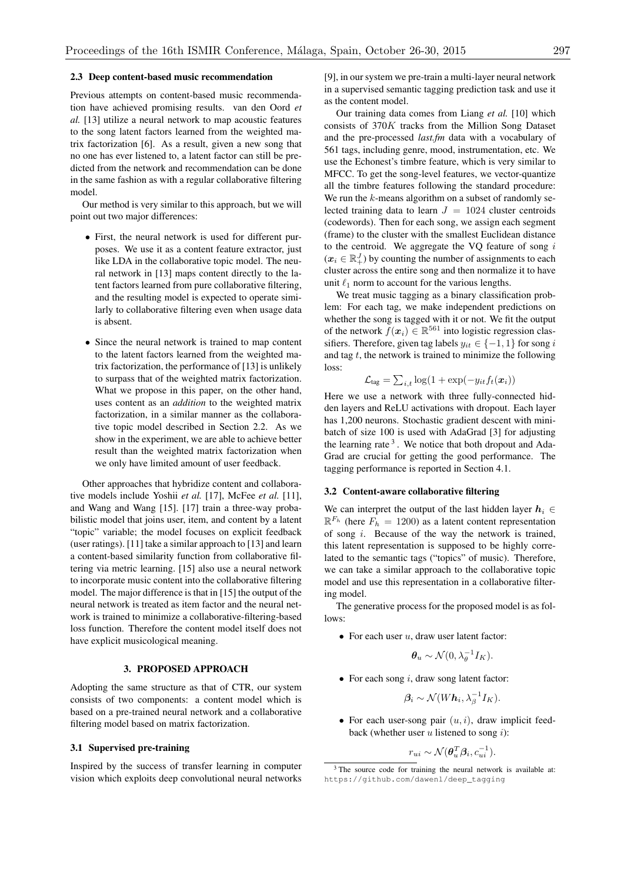#### 2.3 Deep content-based music recommendation

Previous attempts on content-based music recommendation have achieved promising results. van den Oord *et al.* [13] utilize a neural network to map acoustic features to the song latent factors learned from the weighted matrix factorization [6]. As a result, given a new song that no one has ever listened to, a latent factor can still be predicted from the network and recommendation can be done in the same fashion as with a regular collaborative filtering model.

Our method is very similar to this approach, but we will point out two major differences:

- *•* First, the neural network is used for different purposes. We use it as a content feature extractor, just like LDA in the collaborative topic model. The neural network in [13] maps content directly to the latent factors learned from pure collaborative filtering, and the resulting model is expected to operate similarly to collaborative filtering even when usage data is absent.
- *•* Since the neural network is trained to map content to the latent factors learned from the weighted matrix factorization, the performance of [13] is unlikely to surpass that of the weighted matrix factorization. What we propose in this paper, on the other hand, uses content as an *addition* to the weighted matrix factorization, in a similar manner as the collaborative topic model described in Section 2.2. As we show in the experiment, we are able to achieve better result than the weighted matrix factorization when we only have limited amount of user feedback.

Other approaches that hybridize content and collaborative models include Yoshii *et al.* [17], McFee *et al.* [11], and Wang and Wang [15]. [17] train a three-way probabilistic model that joins user, item, and content by a latent "topic" variable; the model focuses on explicit feedback (user ratings). [11] take a similar approach to [13] and learn a content-based similarity function from collaborative filtering via metric learning. [15] also use a neural network to incorporate music content into the collaborative filtering model. The major difference is that in [15] the output of the neural network is treated as item factor and the neural network is trained to minimize a collaborative-filtering-based loss function. Therefore the content model itself does not have explicit musicological meaning.

# 3. PROPOSED APPROACH

Adopting the same structure as that of CTR, our system consists of two components: a content model which is based on a pre-trained neural network and a collaborative filtering model based on matrix factorization.

#### 3.1 Supervised pre-training

Inspired by the success of transfer learning in computer vision which exploits deep convolutional neural networks [9], in our system we pre-train a multi-layer neural network in a supervised semantic tagging prediction task and use it as the content model.

Our training data comes from Liang *et al.* [10] which consists of 370*K* tracks from the Million Song Dataset and the pre-processed *last.fm* data with a vocabulary of 561 tags, including genre, mood, instrumentation, etc. We use the Echonest's timbre feature, which is very similar to MFCC. To get the song-level features, we vector-quantize all the timbre features following the standard procedure: We run the *k*-means algorithm on a subset of randomly selected training data to learn  $J = 1024$  cluster centroids (codewords). Then for each song, we assign each segment (frame) to the cluster with the smallest Euclidean distance to the centroid. We aggregate the VQ feature of song *i*  $(x_i \in \mathbb{R}^J_+)$  by counting the number of assignments to each cluster across the entire song and then normalize it to have unit  $\ell_1$  norm to account for the various lengths.

We treat music tagging as a binary classification problem: For each tag, we make independent predictions on whether the song is tagged with it or not. We fit the output of the network  $f(x_i) \in \mathbb{R}^{561}$  into logistic regression classifiers. Therefore, given tag labels  $y_{it} \in \{-1, 1\}$  for song *i* and tag *t*, the network is trained to minimize the following loss:

$$
\mathcal{L}_{\text{tag}} = \sum_{i,t} \log(1 + \exp(-y_{it} f_t(\boldsymbol{x}_i))
$$

Here we use a network with three fully-connected hidden layers and ReLU activations with dropout. Each layer has 1,200 neurons. Stochastic gradient descent with minibatch of size 100 is used with AdaGrad [3] for adjusting the learning rate  $3$ . We notice that both dropout and Ada-Grad are crucial for getting the good performance. The tagging performance is reported in Section 4.1.

## 3.2 Content-aware collaborative filtering

We can interpret the output of the last hidden layer  $h_i \in$  $\mathbb{R}^{F_h}$  (here  $F_h = 1200$ ) as a latent content representation of song *i*. Because of the way the network is trained, this latent representation is supposed to be highly correlated to the semantic tags ("topics" of music). Therefore, we can take a similar approach to the collaborative topic model and use this representation in a collaborative filtering model.

The generative process for the proposed model is as follows:

*•* For each user *u*, draw user latent factor:

$$
\boldsymbol{\theta}_u \sim \mathcal{N}(0, \lambda_{\theta}^{-1} I_K).
$$

*•* For each song *i*, draw song latent factor:

 $\beta_i \sim \mathcal{N}(W h_i, \lambda_{\beta}^{-1} I_K).$ 

*•* For each user-song pair (*u, i*), draw implicit feedback (whether user *u* listened to song *i*):

$$
r_{ui} \sim \mathcal{N}(\boldsymbol{\theta}_u^T \boldsymbol{\beta}_i, c_{ui}^{-1}).
$$

<sup>&</sup>lt;sup>3</sup> The source code for training the neural network is available at: https://github.com/dawenl/deep\_tagging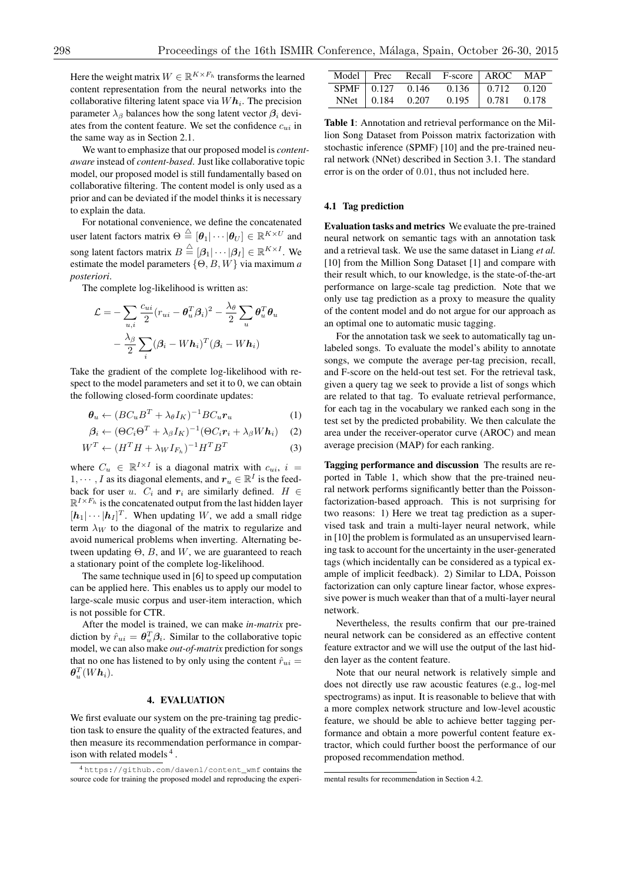Here the weight matrix  $W \in \mathbb{R}^{K \times F_h}$  transforms the learned content representation from the neural networks into the collaborative filtering latent space via  $Wh_i$ . The precision parameter  $\lambda_{\beta}$  balances how the song latent vector  $\beta_i$  deviates from the content feature. We set the confidence *cui* in the same way as in Section 2.1.

We want to emphasize that our proposed model is *contentaware* instead of *content-based*. Just like collaborative topic model, our proposed model is still fundamentally based on collaborative filtering. The content model is only used as a prior and can be deviated if the model thinks it is necessary to explain the data.

For notational convenience, we define the concatenated user latent factors matrix  $\Theta \stackrel{\triangle}{=} [\theta_1 | \cdots | \theta_U] \in \mathbb{R}^{K \times U}$  and song latent factors matrix  $B \triangleq [\beta_1 | \cdots | \beta_I] \in \mathbb{R}^{K \times I}$ . We estimate the model parameters  $\{ \Theta, B, W \}$  via maximum *a posteriori*.

The complete log-likelihood is written as:

$$
\mathcal{L} = -\sum_{u,i} \frac{c_{ui}}{2} (r_{ui} - \boldsymbol{\theta}_u^T \boldsymbol{\beta}_i)^2 - \frac{\lambda_{\theta}}{2} \sum_u \boldsymbol{\theta}_u^T \boldsymbol{\theta}_u
$$

$$
- \frac{\lambda_{\beta}}{2} \sum_i (\boldsymbol{\beta}_i - W \boldsymbol{h}_i)^T (\boldsymbol{\beta}_i - W \boldsymbol{h}_i)
$$

Take the gradient of the complete log-likelihood with respect to the model parameters and set it to 0, we can obtain the following closed-form coordinate updates:

$$
\boldsymbol{\theta}_u \leftarrow (BC_u B^T + \lambda_{\theta} I_K)^{-1} BC_u \boldsymbol{r}_u \tag{1}
$$

$$
\boldsymbol{\beta}_i \leftarrow (\Theta C_i \Theta^T + \lambda_{\beta} I_K)^{-1} (\Theta C_i \boldsymbol{r}_i + \lambda_{\beta} W \boldsymbol{h}_i)
$$
 (2)

$$
W^T \leftarrow (H^T H + \lambda_W I_{F_h})^{-1} H^T B^T \tag{3}
$$

where  $C_u \in \mathbb{R}^{I \times I}$  is a diagonal matrix with  $c_{ui}$ ,  $i =$ 1,  $\cdots$ , *I* as its diagonal elements, and  $r_u \in \mathbb{R}^I$  is the feedback for user *u*.  $C_i$  and  $r_i$  are similarly defined.  $H \in$  $\mathbb{R}^{I \times F_h}$  is the concatenated output from the last hidden layer  $[h_1 | \cdots | h_I]^T$ . When updating *W*, we add a small ridge term  $\lambda_W$  to the diagonal of the matrix to regularize and avoid numerical problems when inverting. Alternating between updating  $\Theta$ , *B*, and *W*, we are guaranteed to reach a stationary point of the complete log-likelihood.

The same technique used in [6] to speed up computation can be applied here. This enables us to apply our model to large-scale music corpus and user-item interaction, which is not possible for CTR.

After the model is trained, we can make *in-matrix* prediction by  $\hat{r}_{ui} = \theta_u^T \beta_i$ . Similar to the collaborative topic model, we can also make *out-of-matrix* prediction for songs that no one has listened to by only using the content  $\hat{r}_{ui}$  =  $\bm{\theta}_u^T(W\bm{h}_i).$ 

## 4. EVALUATION

We first evaluate our system on the pre-training tag prediction task to ensure the quality of the extracted features, and then measure its recommendation performance in comparison with related models  $4<sup>4</sup>$ .

|  | Model Prec Recall F-score AROC MAP |  |
|--|------------------------------------|--|
|  | SPMF 0.127 0.146 0.136 0.712 0.120 |  |
|  | NNet 0.184 0.207 0.195 0.781 0.178 |  |

Table 1: Annotation and retrieval performance on the Million Song Dataset from Poisson matrix factorization with stochastic inference (SPMF) [10] and the pre-trained neural network (NNet) described in Section 3.1. The standard error is on the order of 0*.*01, thus not included here.

## 4.1 Tag prediction

Evaluation tasks and metrics We evaluate the pre-trained neural network on semantic tags with an annotation task and a retrieval task. We use the same dataset in Liang *et al.* [10] from the Million Song Dataset [1] and compare with their result which, to our knowledge, is the state-of-the-art performance on large-scale tag prediction. Note that we only use tag prediction as a proxy to measure the quality of the content model and do not argue for our approach as an optimal one to automatic music tagging.

For the annotation task we seek to automatically tag unlabeled songs. To evaluate the model's ability to annotate songs, we compute the average per-tag precision, recall, and F-score on the held-out test set. For the retrieval task, given a query tag we seek to provide a list of songs which are related to that tag. To evaluate retrieval performance, for each tag in the vocabulary we ranked each song in the test set by the predicted probability. We then calculate the area under the receiver-operator curve (AROC) and mean average precision (MAP) for each ranking.

Tagging performance and discussion The results are reported in Table 1, which show that the pre-trained neural network performs significantly better than the Poissonfactorization-based approach. This is not surprising for two reasons: 1) Here we treat tag prediction as a supervised task and train a multi-layer neural network, while in [10] the problem is formulated as an unsupervised learning task to account for the uncertainty in the user-generated tags (which incidentally can be considered as a typical example of implicit feedback). 2) Similar to LDA, Poisson factorization can only capture linear factor, whose expressive power is much weaker than that of a multi-layer neural network.

Nevertheless, the results confirm that our pre-trained neural network can be considered as an effective content feature extractor and we will use the output of the last hidden layer as the content feature.

Note that our neural network is relatively simple and does not directly use raw acoustic features (e.g., log-mel spectrograms) as input. It is reasonable to believe that with a more complex network structure and low-level acoustic feature, we should be able to achieve better tagging performance and obtain a more powerful content feature extractor, which could further boost the performance of our proposed recommendation method.

<sup>4</sup> https://github.com/dawenl/content\_wmf contains the source code for training the proposed model and reproducing the experi-

mental results for recommendation in Section 4.2.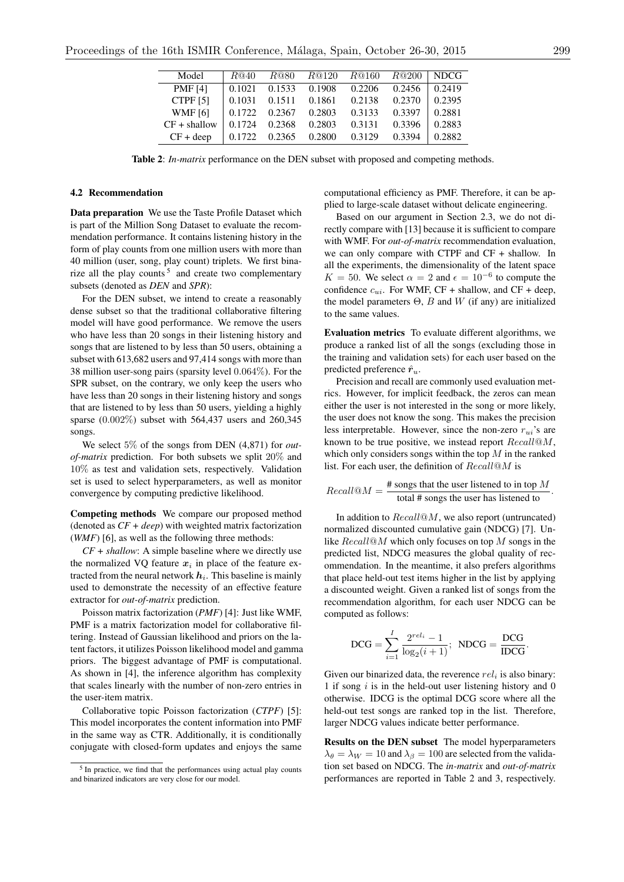| Model               | R@40   | R@80   | R@120  | R@160  | R@200  | NDCG.  |
|---------------------|--------|--------|--------|--------|--------|--------|
| <b>PMF</b> [4]      | 0.1021 | 0.1533 | 0.1908 | 0.2206 | 0.2456 | 0.2419 |
| CTPF <sub>[5]</sub> | 0.1031 | 0.1511 | 0.1861 | 0.2138 | 0.2370 | 0.2395 |
| <b>WMF</b> [6]      | 0.1722 | 0.2367 | 0.2803 | 0.3133 | 0.3397 | 0.2881 |
| $CF + shallow$      | 0.1724 | 0.2368 | 0.2803 | 0.3131 | 0.3396 | 0.2883 |
| $CF + deep$         | 0.1722 | 0.2365 | 0.2800 | 0.3129 | 0.3394 | 0.2882 |

Table 2: *In-matrix* performance on the DEN subset with proposed and competing methods.

#### 4.2 Recommendation

Data preparation We use the Taste Profile Dataset which is part of the Million Song Dataset to evaluate the recommendation performance. It contains listening history in the form of play counts from one million users with more than 40 million (user, song, play count) triplets. We first binarize all the play counts  $5$  and create two complementary subsets (denoted as *DEN* and *SPR*):

For the DEN subset, we intend to create a reasonably dense subset so that the traditional collaborative filtering model will have good performance. We remove the users who have less than 20 songs in their listening history and songs that are listened to by less than 50 users, obtaining a subset with 613,682 users and 97,414 songs with more than 38 million user-song pairs (sparsity level 0*.*064%). For the SPR subset, on the contrary, we only keep the users who have less than 20 songs in their listening history and songs that are listened to by less than 50 users, yielding a highly sparse (0*.*002%) subset with 564,437 users and 260,345 songs.

We select 5% of the songs from DEN (4,871) for *outof-matrix* prediction. For both subsets we split 20% and 10% as test and validation sets, respectively. Validation set is used to select hyperparameters, as well as monitor convergence by computing predictive likelihood.

Competing methods We compare our proposed method (denoted as *CF + deep*) with weighted matrix factorization (*WMF*) [6], as well as the following three methods:

*CF + shallow*: A simple baseline where we directly use the normalized VQ feature  $x_i$  in place of the feature extracted from the neural network  $h_i$ . This baseline is mainly used to demonstrate the necessity of an effective feature extractor for *out-of-matrix* prediction.

Poisson matrix factorization (*PMF*) [4]: Just like WMF, PMF is a matrix factorization model for collaborative filtering. Instead of Gaussian likelihood and priors on the latent factors, it utilizes Poisson likelihood model and gamma priors. The biggest advantage of PMF is computational. As shown in [4], the inference algorithm has complexity that scales linearly with the number of non-zero entries in the user-item matrix.

Collaborative topic Poisson factorization (*CTPF*) [5]: This model incorporates the content information into PMF in the same way as CTR. Additionally, it is conditionally conjugate with closed-form updates and enjoys the same computational efficiency as PMF. Therefore, it can be applied to large-scale dataset without delicate engineering.

Based on our argument in Section 2.3, we do not directly compare with [13] because it is sufficient to compare with WMF. For *out-of-matrix* recommendation evaluation, we can only compare with CTPF and CF + shallow. In all the experiments, the dimensionality of the latent space  $K = 50$ . We select  $\alpha = 2$  and  $\epsilon = 10^{-6}$  to compute the confidence  $c_{ui}$ . For WMF, CF + shallow, and CF + deep, the model parameters  $\Theta$ , *B* and *W* (if any) are initialized to the same values.

Evaluation metrics To evaluate different algorithms, we produce a ranked list of all the songs (excluding those in the training and validation sets) for each user based on the predicted preference  $\hat{r}_u$ .

Precision and recall are commonly used evaluation metrics. However, for implicit feedback, the zeros can mean either the user is not interested in the song or more likely, the user does not know the song. This makes the precision less interpretable. However, since the non-zero  $r_{ui}$ 's are known to be true positive, we instead report *Recall*@*M*, which only considers songs within the top *M* in the ranked list. For each user, the definition of *Recall*@*M* is

Recall@
$$
M = \frac{\text{# songs that the user listened to in top } M}{\text{total # songs the user has listened to}}.
$$

In addition to *Recall*@*M*, we also report (untruncated) normalized discounted cumulative gain (NDCG) [7]. Unlike *Recall*@*M* which only focuses on top *M* songs in the predicted list, NDCG measures the global quality of recommendation. In the meantime, it also prefers algorithms that place held-out test items higher in the list by applying a discounted weight. Given a ranked list of songs from the recommendation algorithm, for each user NDCG can be computed as follows:

$$
DCG = \sum_{i=1}^{I} \frac{2^{rel_i} - 1}{\log_2(i+1)};
$$
 
$$
NDCG = \frac{DCG}{IDCG}.
$$

Given our binarized data, the reverence *rel<sup>i</sup>* is also binary: 1 if song *i* is in the held-out user listening history and 0 otherwise. IDCG is the optimal DCG score where all the held-out test songs are ranked top in the list. Therefore, larger NDCG values indicate better performance.

Results on the DEN subset The model hyperparameters  $\lambda_{\theta} = \lambda_{W} = 10$  and  $\lambda_{\beta} = 100$  are selected from the validation set based on NDCG. The *in-matrix* and *out-of-matrix* performances are reported in Table 2 and 3, respectively.

<sup>5</sup> In practice, we find that the performances using actual play counts and binarized indicators are very close for our model.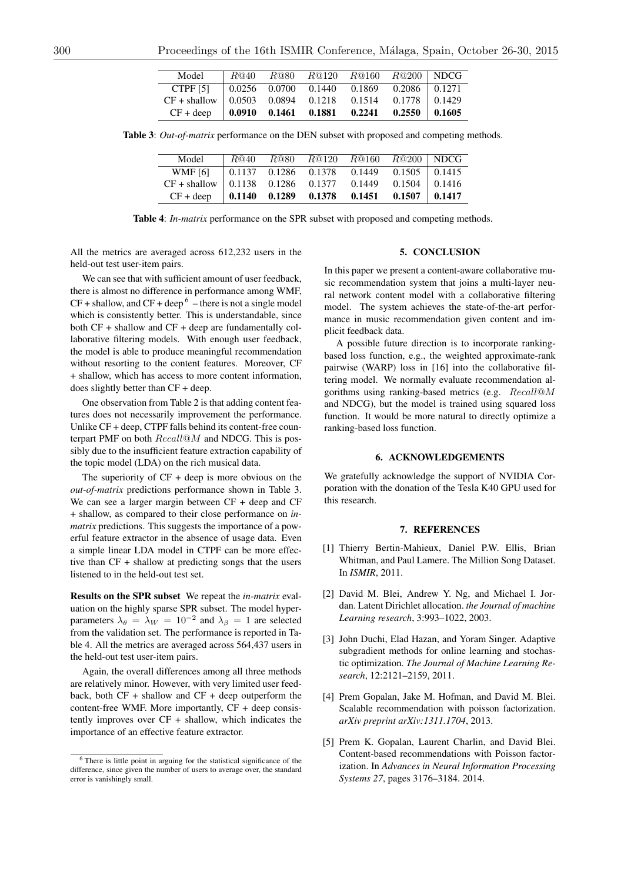| Model                                                                  |  | $R@40$ $R@80$ $R@120$ $R@160$ $R@200$ NDCG |  |
|------------------------------------------------------------------------|--|--------------------------------------------|--|
| CTPF [5] $\begin{array}{ l}$ 0.0256 0.0700 0.1440 0.1869 0.2086 0.1271 |  |                                            |  |
| $CF + shallow$   0.0503 0.0894 0.1218 0.1514 0.1778   0.1429           |  |                                            |  |
| $CF + deep$   0.0910 0.1461 0.1881 0.2241 0.2550 0.1605                |  |                                            |  |

Table 3: *Out-of-matrix* performance on the DEN subset with proposed and competing methods.

| Model                                                      | R@40 |  | $R@80$ $\overline{R@120}$ $\overline{R@160}$ $\overline{R@200}$ NDCG |  |
|------------------------------------------------------------|------|--|----------------------------------------------------------------------|--|
| WMF [6] 0.1137 0.1286 0.1378 0.1449 0.1505 0.1415          |      |  |                                                                      |  |
| $CF + shallow$   0.1138 0.1286 0.1377 0.1449 0.1504 0.1416 |      |  |                                                                      |  |
| $CF + deep$   0.1140 0.1289 0.1378 0.1451 0.1507   0.1417  |      |  |                                                                      |  |

Table 4: *In-matrix* performance on the SPR subset with proposed and competing methods.

All the metrics are averaged across 612,232 users in the held-out test user-item pairs.

We can see that with sufficient amount of user feedback, there is almost no difference in performance among WMF,  $CF +$  shallow, and  $CF +$  deep  $6 -$  there is not a single model which is consistently better. This is understandable, since both CF + shallow and CF + deep are fundamentally collaborative filtering models. With enough user feedback, the model is able to produce meaningful recommendation without resorting to the content features. Moreover, CF + shallow, which has access to more content information, does slightly better than CF + deep.

One observation from Table 2 is that adding content features does not necessarily improvement the performance. Unlike CF + deep, CTPF falls behind its content-free counterpart PMF on both *Recall*@*M* and NDCG. This is possibly due to the insufficient feature extraction capability of the topic model (LDA) on the rich musical data.

The superiority of  $CF + deep$  is more obvious on the *out-of-matrix* predictions performance shown in Table 3. We can see a larger margin between CF + deep and CF + shallow, as compared to their close performance on *inmatrix* predictions. This suggests the importance of a powerful feature extractor in the absence of usage data. Even a simple linear LDA model in CTPF can be more effective than CF + shallow at predicting songs that the users listened to in the held-out test set.

Results on the SPR subset We repeat the *in-matrix* evaluation on the highly sparse SPR subset. The model hyperparameters  $\lambda_{\theta} = \lambda_{W} = 10^{-2}$  and  $\lambda_{\beta} = 1$  are selected from the validation set. The performance is reported in Table 4. All the metrics are averaged across 564,437 users in the held-out test user-item pairs.

Again, the overall differences among all three methods are relatively minor. However, with very limited user feedback, both CF + shallow and CF + deep outperform the content-free WMF. More importantly, CF + deep consistently improves over  $CF + shallow$ , which indicates the importance of an effective feature extractor.

#### 5. CONCLUSION

In this paper we present a content-aware collaborative music recommendation system that joins a multi-layer neural network content model with a collaborative filtering model. The system achieves the state-of-the-art performance in music recommendation given content and implicit feedback data.

A possible future direction is to incorporate rankingbased loss function, e.g., the weighted approximate-rank pairwise (WARP) loss in [16] into the collaborative filtering model. We normally evaluate recommendation algorithms using ranking-based metrics (e.g. *Recall*@*M* and NDCG), but the model is trained using squared loss function. It would be more natural to directly optimize a ranking-based loss function.

## 6. ACKNOWLEDGEMENTS

We gratefully acknowledge the support of NVIDIA Corporation with the donation of the Tesla K40 GPU used for this research.

#### 7. REFERENCES

- [1] Thierry Bertin-Mahieux, Daniel P.W. Ellis, Brian Whitman, and Paul Lamere. The Million Song Dataset. In *ISMIR*, 2011.
- [2] David M. Blei, Andrew Y. Ng, and Michael I. Jordan. Latent Dirichlet allocation. *the Journal of machine Learning research*, 3:993–1022, 2003.
- [3] John Duchi, Elad Hazan, and Yoram Singer. Adaptive subgradient methods for online learning and stochastic optimization. *The Journal of Machine Learning Research*, 12:2121–2159, 2011.
- [4] Prem Gopalan, Jake M. Hofman, and David M. Blei. Scalable recommendation with poisson factorization. *arXiv preprint arXiv:1311.1704*, 2013.
- [5] Prem K. Gopalan, Laurent Charlin, and David Blei. Content-based recommendations with Poisson factorization. In *Advances in Neural Information Processing Systems 27*, pages 3176–3184. 2014.

<sup>6</sup> There is little point in arguing for the statistical significance of the difference, since given the number of users to average over, the standard error is vanishingly small.